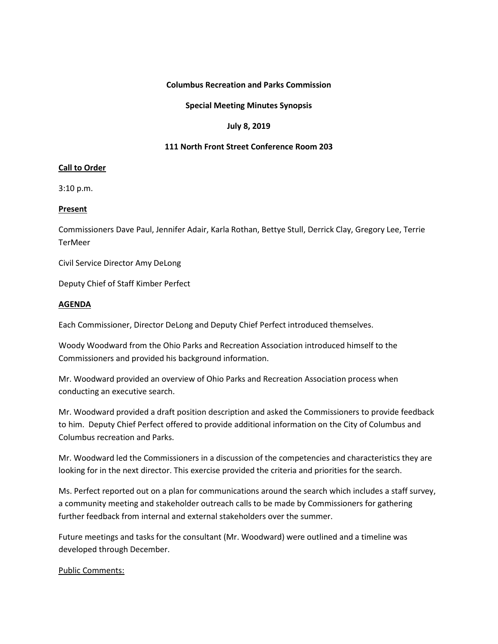# **Columbus Recreation and Parks Commission**

## **Special Meeting Minutes Synopsis**

### **July 8, 2019**

# **111 North Front Street Conference Room 203**

## **Call to Order**

3:10 p.m.

### **Present**

Commissioners Dave Paul, Jennifer Adair, Karla Rothan, Bettye Stull, Derrick Clay, Gregory Lee, Terrie **TerMeer** 

Civil Service Director Amy DeLong

Deputy Chief of Staff Kimber Perfect

### **AGENDA**

Each Commissioner, Director DeLong and Deputy Chief Perfect introduced themselves.

Woody Woodward from the Ohio Parks and Recreation Association introduced himself to the Commissioners and provided his background information.

Mr. Woodward provided an overview of Ohio Parks and Recreation Association process when conducting an executive search.

Mr. Woodward provided a draft position description and asked the Commissioners to provide feedback to him. Deputy Chief Perfect offered to provide additional information on the City of Columbus and Columbus recreation and Parks.

Mr. Woodward led the Commissioners in a discussion of the competencies and characteristics they are looking for in the next director. This exercise provided the criteria and priorities for the search.

Ms. Perfect reported out on a plan for communications around the search which includes a staff survey, a community meeting and stakeholder outreach calls to be made by Commissioners for gathering further feedback from internal and external stakeholders over the summer.

Future meetings and tasks for the consultant (Mr. Woodward) were outlined and a timeline was developed through December.

Public Comments: